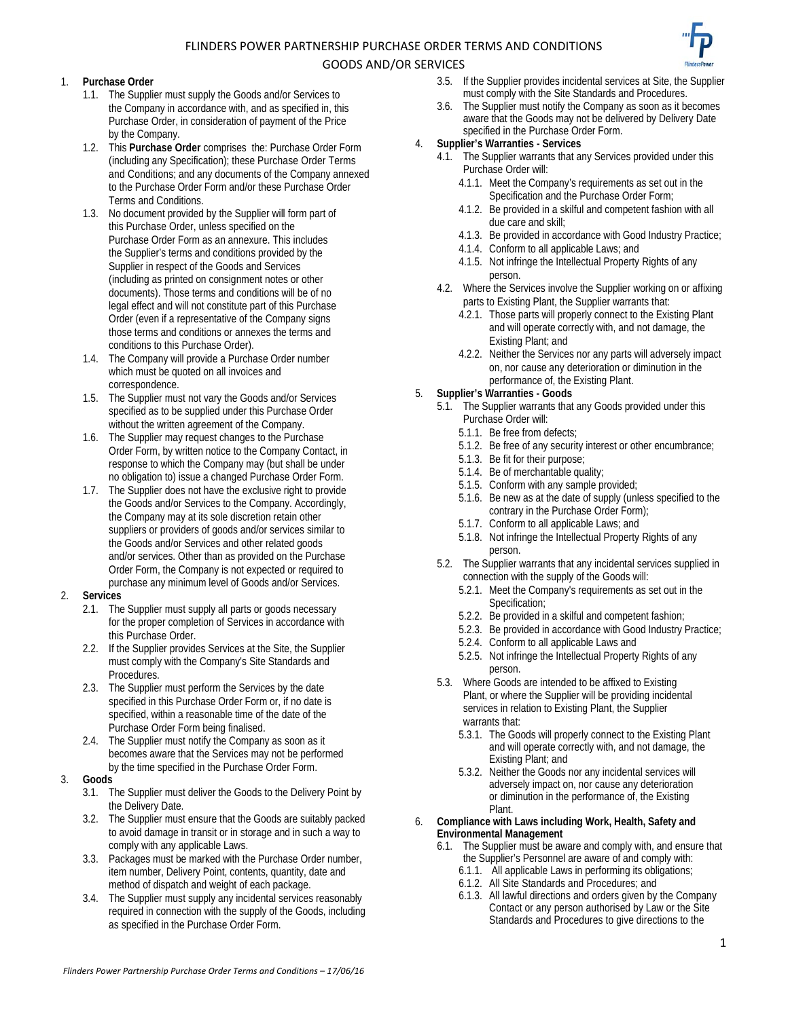# FLINDERS POWER PARTNERSHIP PURCHASE ORDER TERMS AND CONDITIONS



# GOODS AND/OR SERVICES

# 1. **Purchase Order**

- 1.1. The Supplier must supply the Goods and/or Services to the Company in accordance with, and as specified in, this Purchase Order, in consideration of payment of the Price by the Company.
- 1.2. This **Purchase Order** comprises the: Purchase Order Form (including any Specification); these Purchase Order Terms and Conditions; and any documents of the Company annexed to the Purchase Order Form and/or these Purchase Order Terms and Conditions.
- 1.3. No document provided by the Supplier will form part of this Purchase Order, unless specified on the Purchase Order Form as an annexure. This includes the Supplier's terms and conditions provided by the Supplier in respect of the Goods and Services (including as printed on consignment notes or other documents). Those terms and conditions will be of no legal effect and will not constitute part of this Purchase Order (even if a representative of the Company signs those terms and conditions or annexes the terms and conditions to this Purchase Order).
- 1.4. The Company will provide a Purchase Order number which must be quoted on all invoices and correspondence.
- 1.5. The Supplier must not vary the Goods and/or Services specified as to be supplied under this Purchase Order without the written agreement of the Company.
- 1.6. The Supplier may request changes to the Purchase Order Form, by written notice to the Company Contact, in response to which the Company may (but shall be under no obligation to) issue a changed Purchase Order Form.
- 1.7. The Supplier does not have the exclusive right to provide the Goods and/or Services to the Company. Accordingly, the Company may at its sole discretion retain other suppliers or providers of goods and/or services similar to the Goods and/or Services and other related goods and/or services. Other than as provided on the Purchase Order Form, the Company is not expected or required to purchase any minimum level of Goods and/or Services.

## 2. **Services**

- 2.1. The Supplier must supply all parts or goods necessary for the proper completion of Services in accordance with this Purchase Order.
- 2.2. If the Supplier provides Services at the Site, the Supplier must comply with the Company's Site Standards and Procedures.
- 2.3. The Supplier must perform the Services by the date specified in this Purchase Order Form or, if no date is specified, within a reasonable time of the date of the Purchase Order Form being finalised.
- 2.4. The Supplier must notify the Company as soon as it becomes aware that the Services may not be performed by the time specified in the Purchase Order Form.

#### 3. **Goods**

- 3.1. The Supplier must deliver the Goods to the Delivery Point by the Delivery Date.
- 3.2. The Supplier must ensure that the Goods are suitably packed to avoid damage in transit or in storage and in such a way to comply with any applicable Laws.
- 3.3. Packages must be marked with the Purchase Order number, item number, Delivery Point, contents, quantity, date and method of dispatch and weight of each package.
- 3.4. The Supplier must supply any incidental services reasonably required in connection with the supply of the Goods, including as specified in the Purchase Order Form.
- 3.5. If the Supplier provides incidental services at Site, the Supplier must comply with the Site Standards and Procedures.
- 3.6. The Supplier must notify the Company as soon as it becomes aware that the Goods may not be delivered by Delivery Date specified in the Purchase Order Form.

# 4. **Supplier's Warranties - Services**

- 4.1. The Supplier warrants that any Services provided under this Purchase Order will:
	- 4.1.1. Meet the Company's requirements as set out in the Specification and the Purchase Order Form;
	- 4.1.2. Be provided in a skilful and competent fashion with all due care and skill;
	- 4.1.3. Be provided in accordance with Good Industry Practice;
	- 4.1.4. Conform to all applicable Laws; and
	- 4.1.5. Not infringe the Intellectual Property Rights of any person.
- 4.2. Where the Services involve the Supplier working on or affixing parts to Existing Plant, the Supplier warrants that:
	- 4.2.1. Those parts will properly connect to the Existing Plant and will operate correctly with, and not damage, the Existing Plant; and
	- 4.2.2. Neither the Services nor any parts will adversely impact on, nor cause any deterioration or diminution in the performance of, the Existing Plant.

# 5. **Supplier's Warranties - Goods**

- 5.1. The Supplier warrants that any Goods provided under this Purchase Order will:
	- 5.1.1. Be free from defects;
	- 5.1.2. Be free of any security interest or other encumbrance;
	- 5.1.3. Be fit for their purpose;
	- 5.1.4. Be of merchantable quality;
	- 5.1.5. Conform with any sample provided;
	- 5.1.6. Be new as at the date of supply (unless specified to the contrary in the Purchase Order Form);
	- 5.1.7. Conform to all applicable Laws; and
	- 5.1.8. Not infringe the Intellectual Property Rights of any person.
- 5.2. The Supplier warrants that any incidental services supplied in connection with the supply of the Goods will:
	- 5.2.1. Meet the Company's requirements as set out in the Specification;
	- 5.2.2. Be provided in a skilful and competent fashion;
	- 5.2.3. Be provided in accordance with Good Industry Practice;
	- 5.2.4. Conform to all applicable Laws and
	- 5.2.5. Not infringe the Intellectual Property Rights of any person.
- 5.3. Where Goods are intended to be affixed to Existing Plant, or where the Supplier will be providing incidental services in relation to Existing Plant, the Supplier warrants that:
	- 5.3.1. The Goods will properly connect to the Existing Plant and will operate correctly with, and not damage, the Existing Plant; and
	- 5.3.2. Neither the Goods nor any incidental services will adversely impact on, nor cause any deterioration or diminution in the performance of, the Existing Plant.
- 6. **Compliance with Laws including Work, Health, Safety and Environmental Management**
	- 6.1. The Supplier must be aware and comply with, and ensure that the Supplier's Personnel are aware of and comply with:
		- 6.1.1. All applicable Laws in performing its obligations;
		- 6.1.2. All Site Standards and Procedures; and
		- 6.1.3. All lawful directions and orders given by the Company Contact or any person authorised by Law or the Site Standards and Procedures to give directions to the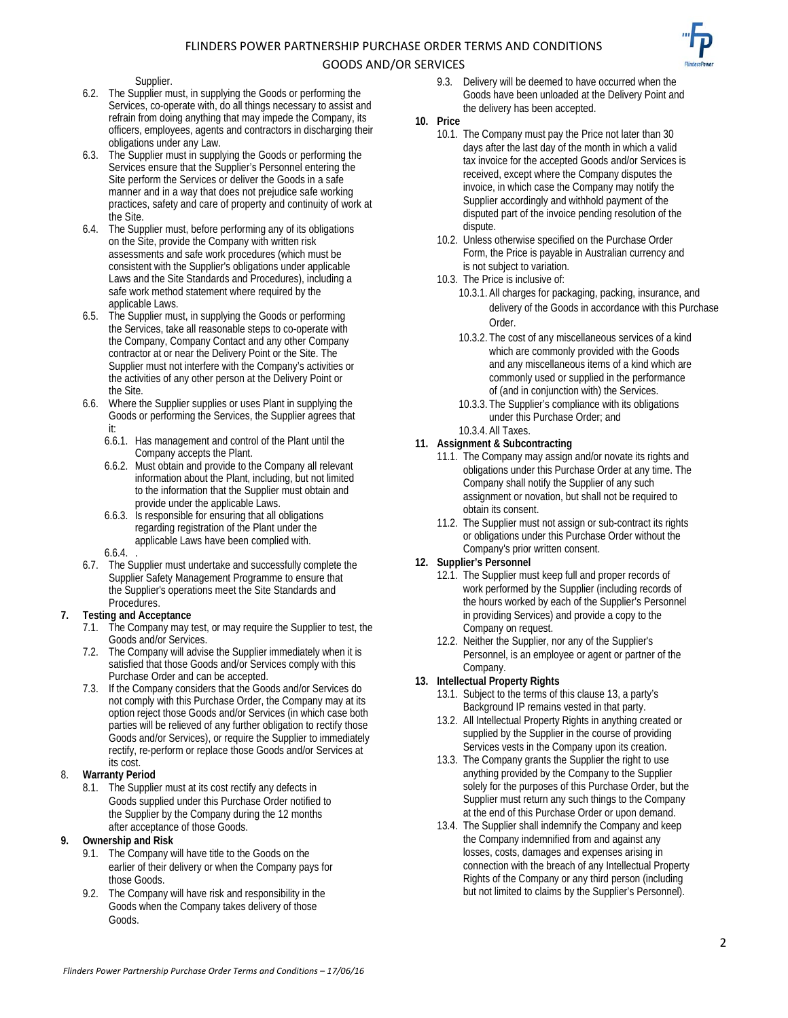# FLINDERS POWER PARTNERSHIP PURCHASE ORDER TERMS AND CONDITIONS GOODS AND/OR SERVICES

Supplier.

- 6.2. The Supplier must, in supplying the Goods or performing the Services, co-operate with, do all things necessary to assist and refrain from doing anything that may impede the Company, its officers, employees, agents and contractors in discharging their obligations under any Law.
- 6.3. The Supplier must in supplying the Goods or performing the Services ensure that the Supplier's Personnel entering the Site perform the Services or deliver the Goods in a safe manner and in a way that does not prejudice safe working practices, safety and care of property and continuity of work at the Site.
- 6.4. The Supplier must, before performing any of its obligations on the Site, provide the Company with written risk assessments and safe work procedures (which must be consistent with the Supplier's obligations under applicable Laws and the Site Standards and Procedures), including a safe work method statement where required by the applicable Laws.
- 6.5. The Supplier must, in supplying the Goods or performing the Services, take all reasonable steps to co-operate with the Company, Company Contact and any other Company contractor at or near the Delivery Point or the Site. The Supplier must not interfere with the Company's activities or the activities of any other person at the Delivery Point or the Site.
- 6.6. Where the Supplier supplies or uses Plant in supplying the Goods or performing the Services, the Supplier agrees that it:
	- 6.6.1. Has management and control of the Plant until the Company accepts the Plant.
	- 6.6.2. Must obtain and provide to the Company all relevant information about the Plant, including, but not limited to the information that the Supplier must obtain and provide under the applicable Laws.
	- 6.6.3. Is responsible for ensuring that all obligations regarding registration of the Plant under the applicable Laws have been complied with.

6.6.4. .

6.7. The Supplier must undertake and successfully complete the Supplier Safety Management Programme to ensure that the Supplier's operations meet the Site Standards and Procedures.

# **7. Testing and Acceptance**

- 7.1. The Company may test, or may require the Supplier to test, the Goods and/or Services.
- 7.2. The Company will advise the Supplier immediately when it is satisfied that those Goods and/or Services comply with this Purchase Order and can be accepted.
- 7.3. If the Company considers that the Goods and/or Services do not comply with this Purchase Order, the Company may at its option reject those Goods and/or Services (in which case both parties will be relieved of any further obligation to rectify those Goods and/or Services), or require the Supplier to immediately rectify, re-perform or replace those Goods and/or Services at its cost.

# 8. **Warranty Period**

8.1. The Supplier must at its cost rectify any defects in Goods supplied under this Purchase Order notified to the Supplier by the Company during the 12 months after acceptance of those Goods.

# **9. Ownership and Risk**

- 9.1. The Company will have title to the Goods on the earlier of their delivery or when the Company pays for those Goods.
- 9.2. The Company will have risk and responsibility in the Goods when the Company takes delivery of those Goods.
- 9.3. Delivery will be deemed to have occurred when the Goods have been unloaded at the Delivery Point and the delivery has been accepted.
- **10. Price** 
	- 10.1. The Company must pay the Price not later than 30 days after the last day of the month in which a valid tax invoice for the accepted Goods and/or Services is received, except where the Company disputes the invoice, in which case the Company may notify the Supplier accordingly and withhold payment of the disputed part of the invoice pending resolution of the dispute.
	- 10.2. Unless otherwise specified on the Purchase Order Form, the Price is payable in Australian currency and is not subject to variation.
	- 10.3. The Price is inclusive of:
		- 10.3.1. All charges for packaging, packing, insurance, and delivery of the Goods in accordance with this Purchase **Order**
		- 10.3.2. The cost of any miscellaneous services of a kind which are commonly provided with the Goods and any miscellaneous items of a kind which are commonly used or supplied in the performance of (and in conjunction with) the Services.
		- 10.3.3. The Supplier's compliance with its obligations under this Purchase Order; and

#### 10.3.4. All Taxes. **11. Assignment & Subcontracting**

- 11.1. The Company may assign and/or novate its rights and obligations under this Purchase Order at any time. The Company shall notify the Supplier of any such assignment or novation, but shall not be required to obtain its consent.
- 11.2. The Supplier must not assign or sub-contract its rights or obligations under this Purchase Order without the Company's prior written consent.

# **12. Supplier's Personnel**

- 12.1. The Supplier must keep full and proper records of work performed by the Supplier (including records of the hours worked by each of the Supplier's Personnel in providing Services) and provide a copy to the Company on request.
- 12.2. Neither the Supplier, nor any of the Supplier's Personnel, is an employee or agent or partner of the Company.

# **13. Intellectual Property Rights**

- 13.1. Subject to the terms of this clause 13, a party's Background IP remains vested in that party.
- 13.2. All Intellectual Property Rights in anything created or supplied by the Supplier in the course of providing Services vests in the Company upon its creation.
- 13.3. The Company grants the Supplier the right to use anything provided by the Company to the Supplier solely for the purposes of this Purchase Order, but the Supplier must return any such things to the Company at the end of this Purchase Order or upon demand.
- 13.4. The Supplier shall indemnify the Company and keep the Company indemnified from and against any losses, costs, damages and expenses arising in connection with the breach of any Intellectual Property Rights of the Company or any third person (including but not limited to claims by the Supplier's Personnel).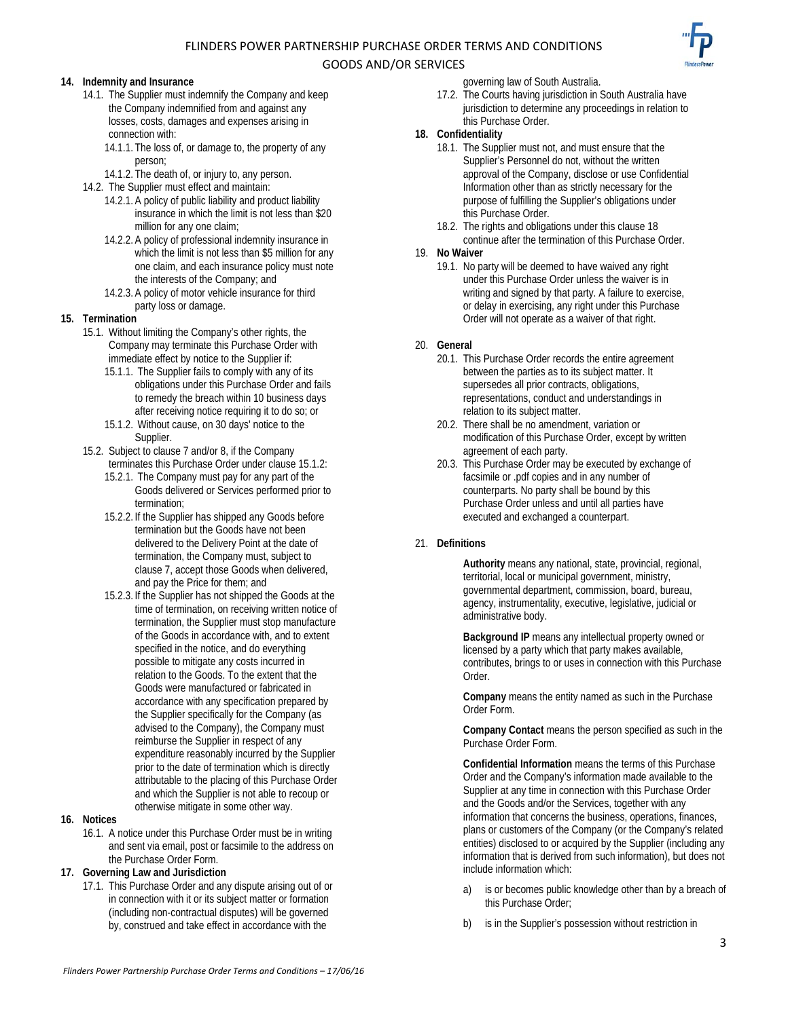# FLINDERS POWER PARTNERSHIP PURCHASE ORDER TERMS AND CONDITIONS

# GOODS AND/OR SERVICES

## **14. Indemnity and Insurance**

- 14.1. The Supplier must indemnify the Company and keep the Company indemnified from and against any losses, costs, damages and expenses arising in connection with:
	- 14.1.1. The loss of, or damage to, the property of any person;
	- 14.1.2. The death of, or injury to, any person.
- 14.2. The Supplier must effect and maintain:
	- 14.2.1. A policy of public liability and product liability insurance in which the limit is not less than \$20 million for any one claim;
	- 14.2.2. A policy of professional indemnity insurance in which the limit is not less than \$5 million for any one claim, and each insurance policy must note the interests of the Company; and
	- 14.2.3. A policy of motor vehicle insurance for third party loss or damage.

## **15. Termination**

- 15.1. Without limiting the Company's other rights, the Company may terminate this Purchase Order with immediate effect by notice to the Supplier if:
	- 15.1.1. The Supplier fails to comply with any of its obligations under this Purchase Order and fails to remedy the breach within 10 business days after receiving notice requiring it to do so; or
	- 15.1.2. Without cause, on 30 days' notice to the Supplier.
- 15.2. Subject to clause 7 and/or 8, if the Company terminates this Purchase Order under clause 15.1.2:
	- 15.2.1. The Company must pay for any part of the Goods delivered or Services performed prior to termination;
	- 15.2.2. If the Supplier has shipped any Goods before termination but the Goods have not been delivered to the Delivery Point at the date of termination, the Company must, subject to clause 7, accept those Goods when delivered, and pay the Price for them; and
	- 15.2.3. If the Supplier has not shipped the Goods at the time of termination, on receiving written notice of termination, the Supplier must stop manufacture of the Goods in accordance with, and to extent specified in the notice, and do everything possible to mitigate any costs incurred in relation to the Goods. To the extent that the Goods were manufactured or fabricated in accordance with any specification prepared by the Supplier specifically for the Company (as advised to the Company), the Company must reimburse the Supplier in respect of any expenditure reasonably incurred by the Supplier prior to the date of termination which is directly attributable to the placing of this Purchase Order and which the Supplier is not able to recoup or otherwise mitigate in some other way.

#### **16. Notices**

16.1. A notice under this Purchase Order must be in writing and sent via email, post or facsimile to the address on the Purchase Order Form.

## **17. Governing Law and Jurisdiction**

17.1. This Purchase Order and any dispute arising out of or in connection with it or its subject matter or formation (including non-contractual disputes) will be governed by, construed and take effect in accordance with the

#### governing law of South Australia.

17.2. The Courts having jurisdiction in South Australia have jurisdiction to determine any proceedings in relation to this Purchase Order.

#### **18. Confidentiality**

- 18.1. The Supplier must not, and must ensure that the Supplier's Personnel do not, without the written approval of the Company, disclose or use Confidential Information other than as strictly necessary for the purpose of fulfilling the Supplier's obligations under this Purchase Order.
- 18.2. The rights and obligations under this clause 18 continue after the termination of this Purchase Order.

#### 19. **No Waiver**

19.1. No party will be deemed to have waived any right under this Purchase Order unless the waiver is in writing and signed by that party. A failure to exercise, or delay in exercising, any right under this Purchase Order will not operate as a waiver of that right.

## 20. **General**

- 20.1. This Purchase Order records the entire agreement between the parties as to its subject matter. It supersedes all prior contracts, obligations, representations, conduct and understandings in relation to its subject matter.
- 20.2. There shall be no amendment, variation or modification of this Purchase Order, except by written agreement of each party.
- 20.3. This Purchase Order may be executed by exchange of facsimile or .pdf copies and in any number of counterparts. No party shall be bound by this Purchase Order unless and until all parties have executed and exchanged a counterpart.

## 21. **Definitions**

**Authority** means any national, state, provincial, regional, territorial, local or municipal government, ministry, governmental department, commission, board, bureau, agency, instrumentality, executive, legislative, judicial or administrative body.

**Background IP** means any intellectual property owned or licensed by a party which that party makes available, contributes, brings to or uses in connection with this Purchase Order.

**Company** means the entity named as such in the Purchase Order Form.

**Company Contact** means the person specified as such in the Purchase Order Form.

**Confidential Information** means the terms of this Purchase Order and the Company's information made available to the Supplier at any time in connection with this Purchase Order and the Goods and/or the Services, together with any information that concerns the business, operations, finances, plans or customers of the Company (or the Company's related entities) disclosed to or acquired by the Supplier (including any information that is derived from such information), but does not include information which:

- a) is or becomes public knowledge other than by a breach of this Purchase Order;
- b) is in the Supplier's possession without restriction in